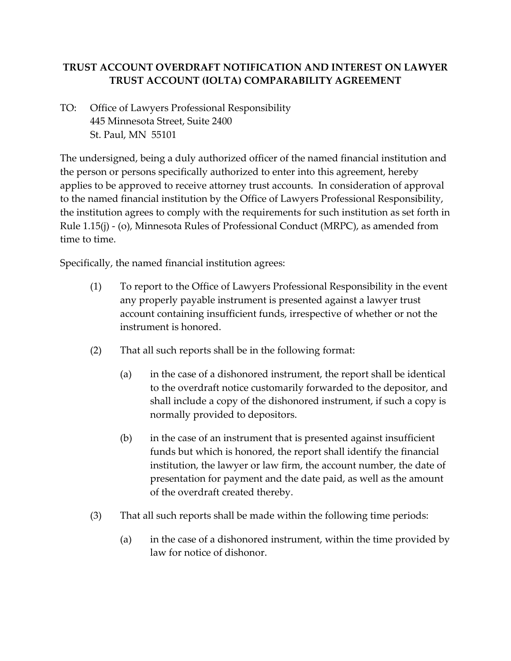## **TRUST ACCOUNT OVERDRAFT NOTIFICATION AND INTEREST ON LAWYER TRUST ACCOUNT (IOLTA) COMPARABILITY AGREEMENT**

TO: Office of Lawyers Professional Responsibility 445 Minnesota Street, Suite 2400 St. Paul, MN 55101

The undersigned, being a duly authorized officer of the named financial institution and the person or persons specifically authorized to enter into this agreement, hereby applies to be approved to receive attorney trust accounts. In consideration of approval to the named financial institution by the Office of Lawyers Professional Responsibility, the institution agrees to comply with the requirements for such institution as set forth in Rule 1.15(j) - (o), Minnesota Rules of Professional Conduct (MRPC), as amended from time to time.

Specifically, the named financial institution agrees:

- (1) To report to the Office of Lawyers Professional Responsibility in the event any properly payable instrument is presented against a lawyer trust account containing insufficient funds, irrespective of whether or not the instrument is honored.
- (2) That all such reports shall be in the following format:
	- (a) in the case of a dishonored instrument, the report shall be identical to the overdraft notice customarily forwarded to the depositor, and shall include a copy of the dishonored instrument, if such a copy is normally provided to depositors.
	- (b) in the case of an instrument that is presented against insufficient funds but which is honored, the report shall identify the financial institution, the lawyer or law firm, the account number, the date of presentation for payment and the date paid, as well as the amount of the overdraft created thereby.
- (3) That all such reports shall be made within the following time periods:
	- (a) in the case of a dishonored instrument, within the time provided by law for notice of dishonor.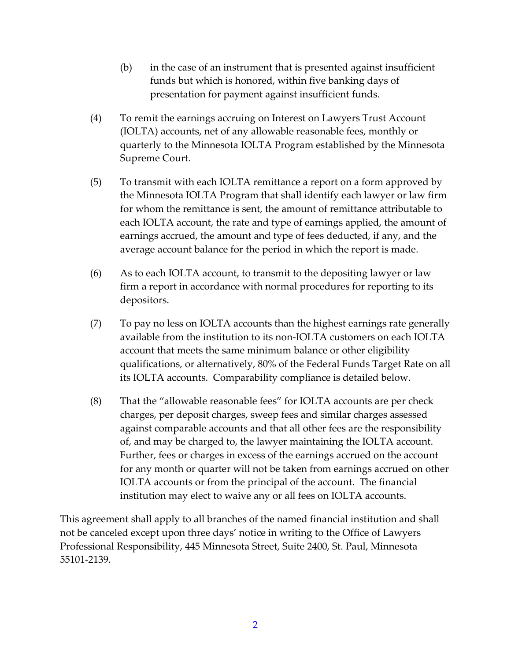- (b) in the case of an instrument that is presented against insufficient funds but which is honored, within five banking days of presentation for payment against insufficient funds.
- (4) To remit the earnings accruing on Interest on Lawyers Trust Account (IOLTA) accounts, net of any allowable reasonable fees, monthly or quarterly to the Minnesota IOLTA Program established by the Minnesota Supreme Court.
- (5) To transmit with each IOLTA remittance a report on a form approved by the Minnesota IOLTA Program that shall identify each lawyer or law firm for whom the remittance is sent, the amount of remittance attributable to each IOLTA account, the rate and type of earnings applied, the amount of earnings accrued, the amount and type of fees deducted, if any, and the average account balance for the period in which the report is made.
- (6) As to each IOLTA account, to transmit to the depositing lawyer or law firm a report in accordance with normal procedures for reporting to its depositors.
- (7) To pay no less on IOLTA accounts than the highest earnings rate generally available from the institution to its non-IOLTA customers on each IOLTA account that meets the same minimum balance or other eligibility qualifications, or alternatively, 80% of the Federal Funds Target Rate on all its IOLTA accounts. Comparability compliance is detailed below.
- (8) That the "allowable reasonable fees" for IOLTA accounts are per check charges, per deposit charges, sweep fees and similar charges assessed against comparable accounts and that all other fees are the responsibility of, and may be charged to, the lawyer maintaining the IOLTA account. Further, fees or charges in excess of the earnings accrued on the account for any month or quarter will not be taken from earnings accrued on other IOLTA accounts or from the principal of the account. The financial institution may elect to waive any or all fees on IOLTA accounts.

This agreement shall apply to all branches of the named financial institution and shall not be canceled except upon three days' notice in writing to the Office of Lawyers Professional Responsibility, 445 Minnesota Street, Suite 2400, St. Paul, Minnesota 55101-2139.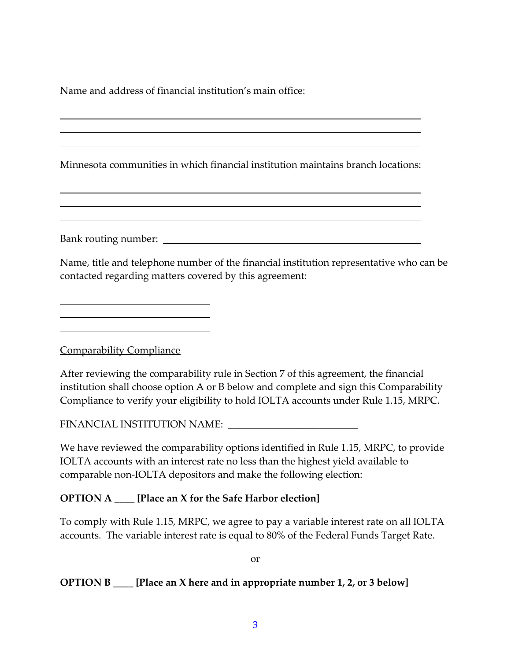Name and address of financial institution's main office:

Minnesota communities in which financial institution maintains branch locations:

Bank routing number:

Name, title and telephone number of the financial institution representative who can be contacted regarding matters covered by this agreement:

Comparability Compliance

After reviewing the comparability rule in Section 7 of this agreement, the financial institution shall choose option A or B below and complete and sign this Comparability Compliance to verify your eligibility to hold IOLTA accounts under Rule 1.15, MRPC.

FINANCIAL INSTITUTION NAME: \_\_\_\_\_\_\_\_\_\_\_\_\_\_\_\_\_\_\_\_\_\_\_\_\_\_

We have reviewed the comparability options identified in Rule 1.15, MRPC, to provide IOLTA accounts with an interest rate no less than the highest yield available to comparable non-IOLTA depositors and make the following election:

## **OPTION A** \_\_\_\_ **[Place an X for the Safe Harbor election]**

To comply with Rule 1.15, MRPC, we agree to pay a variable interest rate on all IOLTA accounts. The variable interest rate is equal to 80% of the Federal Funds Target Rate.

or

## **OPTION B \_\_\_\_ [Place an X here and in appropriate number 1, 2, or 3 below]**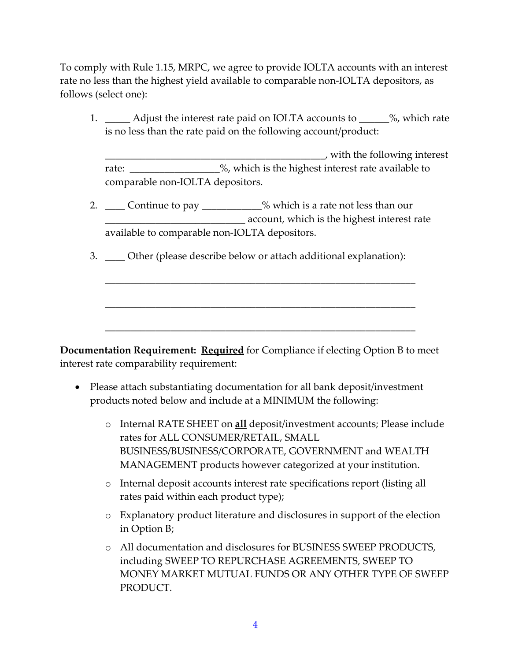To comply with Rule 1.15, MRPC, we agree to provide IOLTA accounts with an interest rate no less than the highest yield available to comparable non-IOLTA depositors, as follows (select one):

1. \_\_\_\_\_ Adjust the interest rate paid on IOLTA accounts to \_\_\_\_\_%, which rate is no less than the rate paid on the following account/product:

\_\_\_\_\_\_\_\_\_\_\_\_\_\_\_\_\_\_\_\_\_\_\_\_\_\_\_\_\_\_\_\_\_\_\_\_\_\_\_\_\_\_\_\_, with the following interest rate: \_\_\_\_\_\_\_\_\_\_\_\_\_\_\_%, which is the highest interest rate available to comparable non-IOLTA depositors.

2. \_\_\_\_ Continue to pay \_\_\_\_\_\_\_\_\_\_\_% which is a rate not less than our **EXECUTE:** Account, which is the highest interest rate available to comparable non-IOLTA depositors.

\_\_\_\_\_\_\_\_\_\_\_\_\_\_\_\_\_\_\_\_\_\_\_\_\_\_\_\_\_\_\_\_\_\_\_\_\_\_\_\_\_\_\_\_\_\_\_\_\_\_\_\_\_\_\_\_\_\_\_\_\_\_

\_\_\_\_\_\_\_\_\_\_\_\_\_\_\_\_\_\_\_\_\_\_\_\_\_\_\_\_\_\_\_\_\_\_\_\_\_\_\_\_\_\_\_\_\_\_\_\_\_\_\_\_\_\_\_\_\_\_\_\_\_\_

\_\_\_\_\_\_\_\_\_\_\_\_\_\_\_\_\_\_\_\_\_\_\_\_\_\_\_\_\_\_\_\_\_\_\_\_\_\_\_\_\_\_\_\_\_\_\_\_\_\_\_\_\_\_\_\_\_\_\_\_\_\_

3. \_\_\_\_ Other (please describe below or attach additional explanation):

**Documentation Requirement: Required** for Compliance if electing Option B to meet interest rate comparability requirement:

- Please attach substantiating documentation for all bank deposit/investment products noted below and include at a MINIMUM the following:
	- o Internal RATE SHEET on **all** deposit/investment accounts; Please include rates for ALL CONSUMER/RETAIL, SMALL BUSINESS/BUSINESS/CORPORATE, GOVERNMENT and WEALTH MANAGEMENT products however categorized at your institution.
	- o Internal deposit accounts interest rate specifications report (listing all rates paid within each product type);
	- o Explanatory product literature and disclosures in support of the election in Option B;
	- o All documentation and disclosures for BUSINESS SWEEP PRODUCTS, including SWEEP TO REPURCHASE AGREEMENTS, SWEEP TO MONEY MARKET MUTUAL FUNDS OR ANY OTHER TYPE OF SWEEP PRODUCT.